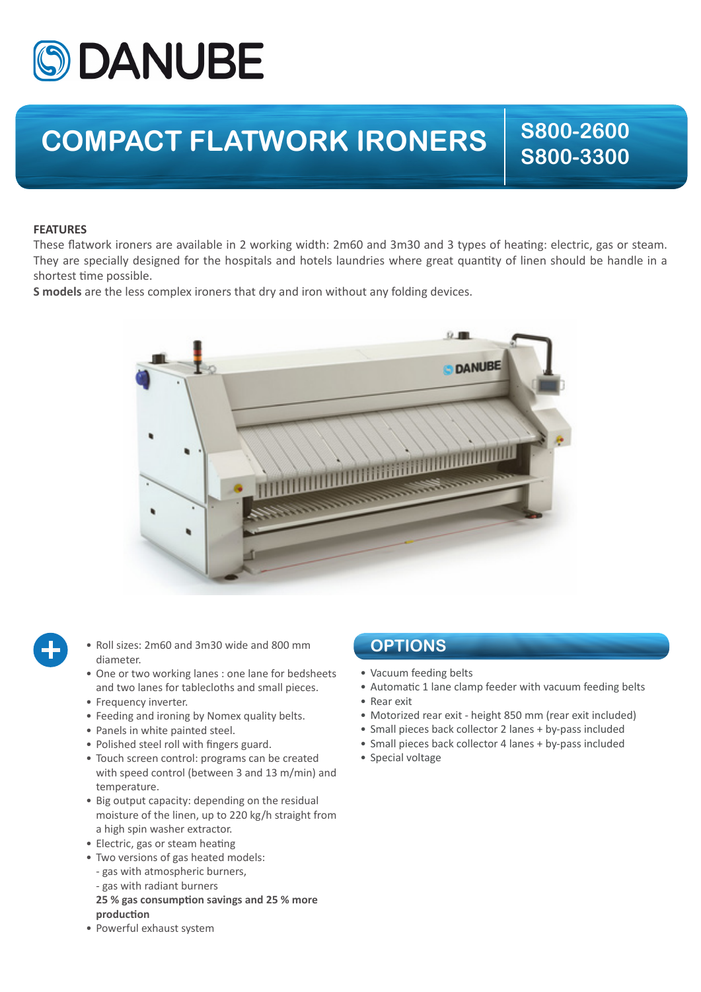

## **COMPACT FLATWORK IRONERS**  $\begin{array}{|c|c|c|c|}\n\hline\n & 8800-2600 \\
& 8800-2600\n\end{array}$

**S800-3300**

## **FEATURES**

These flatwork ironers are available in 2 working width: 2m60 and 3m30 and 3 types of heating: electric, gas or steam. They are specially designed for the hospitals and hotels laundries where great quantity of linen should be handle in a shortest time possible.

**S models** are the less complex ironers that dry and iron without any folding devices.





- Roll sizes: 2m60 and 3m30 wide and 800 mm diameter.
- One or two working lanes : one lane for bedsheets and two lanes for tablecloths and small pieces.
- Frequency inverter.
- Feeding and ironing by Nomex quality belts.
- Panels in white painted steel.
- Polished steel roll with fingers guard.
- Touch screen control: programs can be created with speed control (between 3 and 13 m/min) and temperature.
- Big output capacity: depending on the residual moisture of the linen, up to 220 kg/h straight from a high spin washer extractor.
- Electric, gas or steam heating
- Two versions of gas heated models:
- gas with atmospheric burners,
- gas with radiant burners
- **25 % gas consumption savings and 25 % more production**
- Powerful exhaust system

## **OPTIONS**

- Vacuum feeding belts
- Automatic 1 lane clamp feeder with vacuum feeding belts
- Rear exit
- Motorized rear exit height 850 mm (rear exit included)
- Small pieces back collector 2 lanes + by-pass included
- Small pieces back collector 4 lanes + by-pass included
- Special voltage